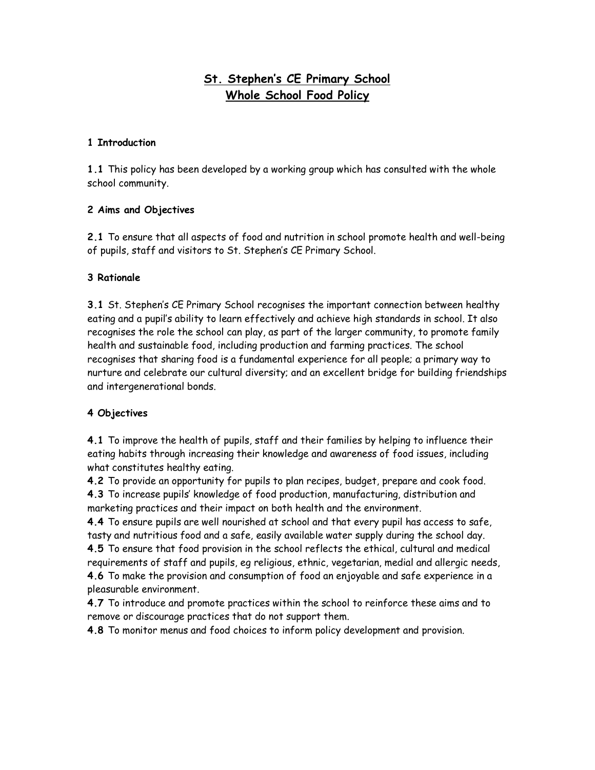# **St. Stephen's CE Primary School Whole School Food Policy**

#### **1 Introduction**

**1.1** This policy has been developed by a working group which has consulted with the whole school community.

#### **2 Aims and Objectives**

**2.1** To ensure that all aspects of food and nutrition in school promote health and well-being of pupils, staff and visitors to St. Stephen's CE Primary School.

# **3 Rationale**

**3.1** St. Stephen's CE Primary School recognises the important connection between healthy eating and a pupil's ability to learn effectively and achieve high standards in school. It also recognises the role the school can play, as part of the larger community, to promote family health and sustainable food, including production and farming practices. The school recognises that sharing food is a fundamental experience for all people; a primary way to nurture and celebrate our cultural diversity; and an excellent bridge for building friendships and intergenerational bonds.

# **4 Objectives**

**4.1** To improve the health of pupils, staff and their families by helping to influence their eating habits through increasing their knowledge and awareness of food issues, including what constitutes healthy eating.

**4.2** To provide an opportunity for pupils to plan recipes, budget, prepare and cook food. **4.3** To increase pupils' knowledge of food production, manufacturing, distribution and marketing practices and their impact on both health and the environment.

**4.4** To ensure pupils are well nourished at school and that every pupil has access to safe, tasty and nutritious food and a safe, easily available water supply during the school day.

**4.5** To ensure that food provision in the school reflects the ethical, cultural and medical requirements of staff and pupils, eg religious, ethnic, vegetarian, medial and allergic needs, **4.6** To make the provision and consumption of food an enjoyable and safe experience in a pleasurable environment.

**4.7** To introduce and promote practices within the school to reinforce these aims and to remove or discourage practices that do not support them.

**4.8** To monitor menus and food choices to inform policy development and provision.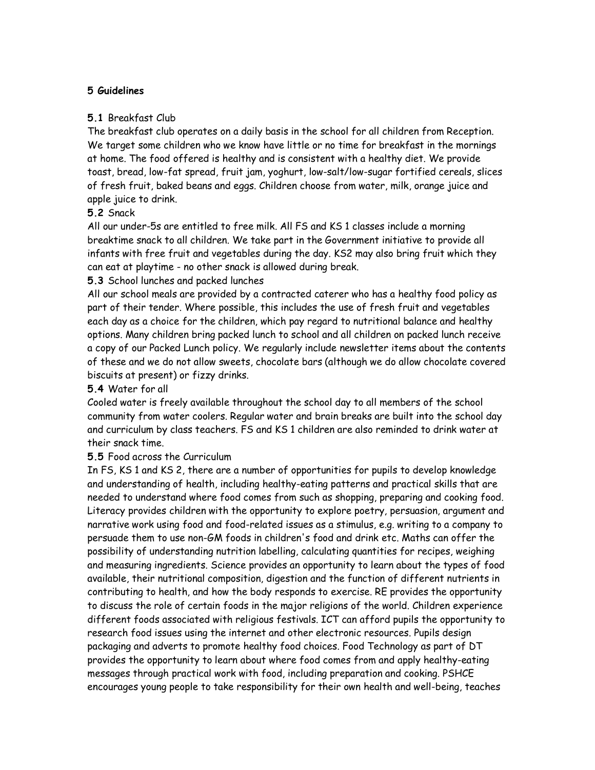#### **5 Guidelines**

#### **5.1** Breakfast Club

The breakfast club operates on a daily basis in the school for all children from Reception. We target some children who we know have little or no time for breakfast in the mornings at home. The food offered is healthy and is consistent with a healthy diet. We provide toast, bread, low-fat spread, fruit jam, yoghurt, low-salt/low-sugar fortified cereals, slices of fresh fruit, baked beans and eggs. Children choose from water, milk, orange juice and apple juice to drink.

#### **5.2** Snack

All our under-5s are entitled to free milk. All FS and KS 1 classes include a morning breaktime snack to all children. We take part in the Government initiative to provide all infants with free fruit and vegetables during the day. KS2 may also bring fruit which they can eat at playtime - no other snack is allowed during break.

#### **5.3** School lunches and packed lunches

All our school meals are provided by a contracted caterer who has a healthy food policy as part of their tender. Where possible, this includes the use of fresh fruit and vegetables each day as a choice for the children, which pay regard to nutritional balance and healthy options. Many children bring packed lunch to school and all children on packed lunch receive a copy of our Packed Lunch policy. We regularly include newsletter items about the contents of these and we do not allow sweets, chocolate bars (although we do allow chocolate covered biscuits at present) or fizzy drinks.

### **5.4** Water for all

Cooled water is freely available throughout the school day to all members of the school community from water coolers. Regular water and brain breaks are built into the school day and curriculum by class teachers. FS and KS 1 children are also reminded to drink water at their snack time.

#### **5.5** Food across the Curriculum

In FS, KS 1 and KS 2, there are a number of opportunities for pupils to develop knowledge and understanding of health, including healthy-eating patterns and practical skills that are needed to understand where food comes from such as shopping, preparing and cooking food. Literacy provides children with the opportunity to explore poetry, persuasion, argument and narrative work using food and food-related issues as a stimulus, e.g. writing to a company to persuade them to use non-GM foods in children's food and drink etc. Maths can offer the possibility of understanding nutrition labelling, calculating quantities for recipes, weighing and measuring ingredients. Science provides an opportunity to learn about the types of food available, their nutritional composition, digestion and the function of different nutrients in contributing to health, and how the body responds to exercise. RE provides the opportunity to discuss the role of certain foods in the major religions of the world. Children experience different foods associated with religious festivals. ICT can afford pupils the opportunity to research food issues using the internet and other electronic resources. Pupils design packaging and adverts to promote healthy food choices. Food Technology as part of DT provides the opportunity to learn about where food comes from and apply healthy-eating messages through practical work with food, including preparation and cooking. PSHCE encourages young people to take responsibility for their own health and well-being, teaches